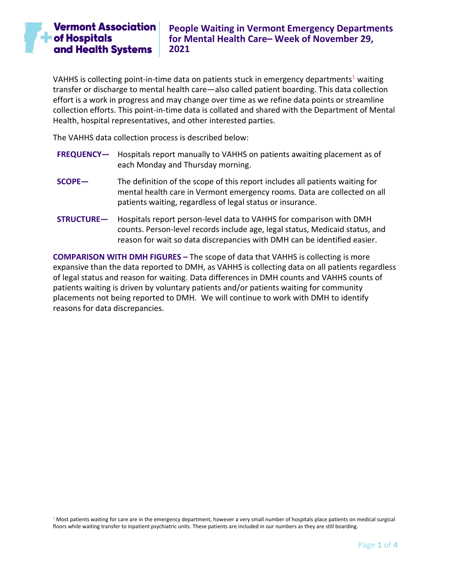VAHHS is collecting point-in-time data on patients stuck in emergency departments<sup>1</sup> waiting transfer or discharge to mental health care—also called patient boarding. This data collection effort is a work in progress and may change over time as we refine data points or streamline collection efforts. This point-in-time data is collated and shared with the Department of Mental Health, hospital representatives, and other interested parties.

The VAHHS data collection process is described below:

- **FREQUENCY—** Hospitals report manually to VAHHS on patients awaiting placement as of each Monday and Thursday morning.
- **SCOPE—** The definition of the scope of this report includes all patients waiting for mental health care in Vermont emergency rooms. Data are collected on all patients waiting, regardless of legal status or insurance.
- **STRUCTURE—** Hospitals report person-level data to VAHHS for comparison with DMH counts. Person-level records include age, legal status, Medicaid status, and reason for wait so data discrepancies with DMH can be identified easier.

**COMPARISON WITH DMH FIGURES –** The scope of data that VAHHS is collecting is more expansive than the data reported to DMH, as VAHHS is collecting data on all patients regardless of legal status and reason for waiting. Data differences in DMH counts and VAHHS counts of patients waiting is driven by voluntary patients and/or patients waiting for community placements not being reported to DMH. We will continue to work with DMH to identify reasons for data discrepancies.

 $1$  Most patients waiting for care are in the emergency department, however a very small number of hospitals place patients on medical surgical floors while waiting transfer to inpatient psychiatric units. These patients are included in our numbers as they are still boarding.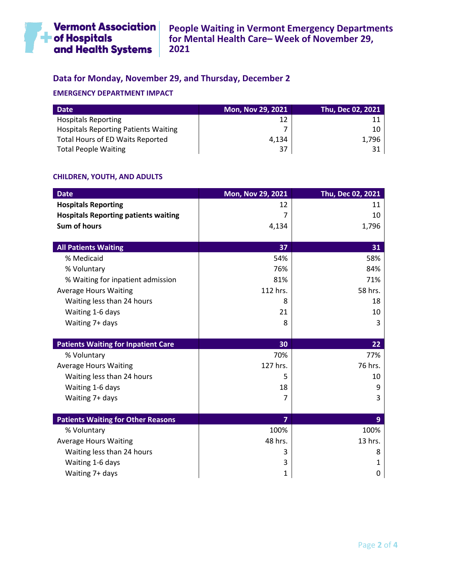

# **Data for Monday, November 29, and Thursday, December 2**

## **EMERGENCY DEPARTMENT IMPACT**

| <b>Date</b>                                 | <b>Mon, Nov 29, 2021</b> | Thu, Dec 02, 2021 |
|---------------------------------------------|--------------------------|-------------------|
| <b>Hospitals Reporting</b>                  | 12                       |                   |
| <b>Hospitals Reporting Patients Waiting</b> |                          |                   |
| <b>Total Hours of ED Waits Reported</b>     | 4.134                    | 1.796             |
| <b>Total People Waiting</b>                 | 37                       |                   |

## **CHILDREN, YOUTH, AND ADULTS**

| <b>Date</b>                                 | Mon, Nov 29, 2021 | Thu, Dec 02, 2021 |
|---------------------------------------------|-------------------|-------------------|
| <b>Hospitals Reporting</b>                  | 12                | 11                |
| <b>Hospitals Reporting patients waiting</b> | 7                 | 10                |
| Sum of hours                                | 4,134             | 1,796             |
|                                             |                   |                   |
| <b>All Patients Waiting</b>                 | 37                | 31                |
| % Medicaid                                  | 54%               | 58%               |
| % Voluntary                                 | 76%               | 84%               |
| % Waiting for inpatient admission           | 81%               | 71%               |
| <b>Average Hours Waiting</b>                | 112 hrs.          | 58 hrs.           |
| Waiting less than 24 hours                  | 8                 | 18                |
| Waiting 1-6 days                            | 21                | 10                |
| Waiting 7+ days                             | 8                 | 3                 |
|                                             |                   |                   |
| <b>Patients Waiting for Inpatient Care</b>  | 30                | 22                |
| % Voluntary                                 | 70%               | 77%               |
| <b>Average Hours Waiting</b>                | 127 hrs.          | 76 hrs.           |
| Waiting less than 24 hours                  | 5                 | 10                |
| Waiting 1-6 days                            | 18                | 9                 |
| Waiting 7+ days                             | 7                 | 3                 |
|                                             |                   |                   |
| <b>Patients Waiting for Other Reasons</b>   | $\overline{7}$    | 9                 |
| % Voluntary                                 | 100%              | 100%              |
| <b>Average Hours Waiting</b>                | 48 hrs.           | 13 hrs.           |
| Waiting less than 24 hours                  | 3                 | 8                 |
| Waiting 1-6 days                            | 3                 | 1                 |
| Waiting 7+ days                             | 1                 | 0                 |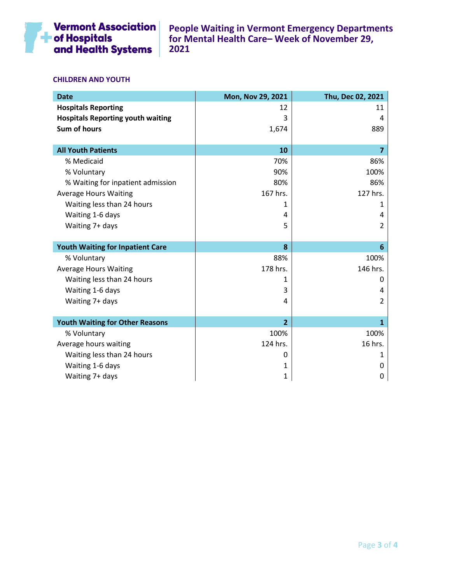

### **CHILDREN AND YOUTH**

| <b>Date</b>                              | Mon, Nov 29, 2021 | Thu, Dec 02, 2021 |
|------------------------------------------|-------------------|-------------------|
| <b>Hospitals Reporting</b>               | 12                | 11                |
| <b>Hospitals Reporting youth waiting</b> | 3                 | 4                 |
| <b>Sum of hours</b>                      | 1,674             | 889               |
|                                          |                   |                   |
| <b>All Youth Patients</b>                | 10                | 7                 |
| % Medicaid                               | 70%               | 86%               |
| % Voluntary                              | 90%               | 100%              |
| % Waiting for inpatient admission        | 80%               | 86%               |
| <b>Average Hours Waiting</b>             | 167 hrs.          | 127 hrs.          |
| Waiting less than 24 hours               | 1                 | 1                 |
| Waiting 1-6 days                         | 4                 | 4                 |
| Waiting 7+ days                          | 5                 | $\overline{2}$    |
|                                          |                   |                   |
| <b>Youth Waiting for Inpatient Care</b>  | 8                 | 6                 |
| % Voluntary                              | 88%               | 100%              |
| <b>Average Hours Waiting</b>             | 178 hrs.          | 146 hrs.          |
| Waiting less than 24 hours               | 1                 | 0                 |
| Waiting 1-6 days                         | 3                 | 4                 |
| Waiting 7+ days                          | 4                 | $\overline{2}$    |
|                                          |                   |                   |
| <b>Youth Waiting for Other Reasons</b>   | $\overline{2}$    | $\mathbf{1}$      |
| % Voluntary                              | 100%              | 100%              |
| Average hours waiting                    | 124 hrs.          | 16 hrs.           |
| Waiting less than 24 hours               | 0                 | 1                 |
| Waiting 1-6 days                         | 1                 | 0                 |
| Waiting 7+ days                          | 1                 | 0                 |